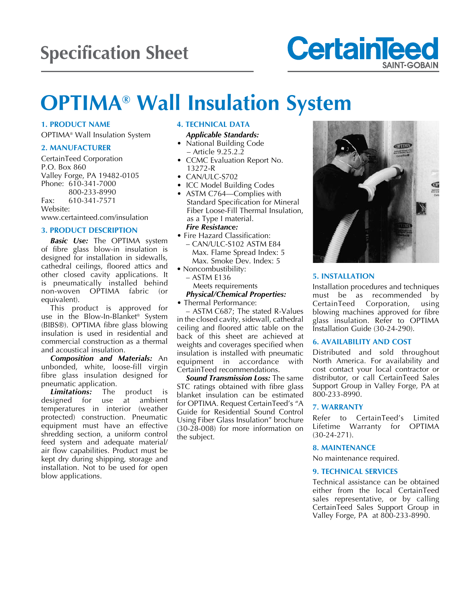

# **OPTIMA® Wall Insulation System**

# **1. PRODUCT NAME**

OPTIMA® Wall Insulation System

#### **2. MANUFACTURER**

CertainTeed Corporation P.O. Box 860 Valley Forge, PA 19482-0105 Phone: 610-341-7000 800-233-8990 Fax: 610-341-7571 Website:

www.certainteed.com/insulation

# **3. PRODUCT DESCRIPTION**

*Basic Use:* The OPTIMA system of fibre glass blow-in insulation is designed for installation in sidewalls, cathedral ceilings, floored attics and other closed cavity applications. It is pneumatically installed behind non-woven OPTIMA fabric (or equivalent).

This product is approved for use in the Blow-In-Blanket® System (BIBS®). OPTIMA fibre glass blowing insulation is used in residential and commercial construction as a thermal and acoustical insulation.

*Composition and Materials:* An unbonded, white, loose-fill virgin fibre glass insulation designed for pneumatic application.

*Limitations:* The product is designed for use at ambient temperatures in interior (weather protected) construction. Pneumatic equipment must have an effective shredding section, a uniform control feed system and adequate material/ air flow capabilities. Product must be kept dry during shipping, storage and installation. Not to be used for open blow applications.

# **4. TECHNICAL DATA**

- *Applicable Standards:* National Building Code – Article 9.25.2.2
- CCMC Evaluation Report No. 13272-R
- $\bullet$  CAN/ULC-S702
- ICC Model Building Codes
- ASTM C764-Complies with Standard Specification for Mineral Fiber Loose-Fill Thermal Insulation, as a Type I material. *Fire Resistance:*
- Fire Hazard Classification: - CAN/ULC-S102 ASTM E84 Max. Flame Spread Index: 5 Max. Smoke Dev. Index: 5
- Noncombustibility:
	- $-$  ASTM E136
	- Meets requirements *Physical/Chemical Properties:*
- Thermal Performance:

– ASTM C687; The stated R-Values in the closed cavity, sidewall, cathedral ceiling and floored attic table on the back of this sheet are achieved at weights and coverages specified when insulation is installed with pneumatic equipment in accordance with CertainTeed recommendations.

*Sound Transmission Loss:* The same STC ratings obtained with fibre glass blanket insulation can be estimated for OPTIMA. Request CertainTeed's "A Guide for Residential Sound Control Using Fiber Glass Insulation" brochure (30-28-008) for more information on the subject.



#### **5. INSTALLATION**

Installation procedures and techniques must be as recommended by CertainTeed Corporation, using blowing machines approved for fibre glass insulation. Refer to OPTIMA Installation Guide (30-24-290).

## **6. AVAILABILITY AND COST**

Distributed and sold throughout North America. For availability and cost contact your local contractor or distributor, or call CertainTeed Sales Support Group in Valley Forge, PA at 800-233-8990.

#### **7. WARRANTY**

Refer to CertainTeed's Limited Lifetime Warranty for OPTIMA (30-24-271).

#### **8. MAINTENANCE**

No maintenance required.

#### **9. TECHNICAL SERVICES**

Technical assistance can be obtained either from the local CertainTeed sales representative, or by calling CertainTeed Sales Support Group in Valley Forge, PA at 800-233-8990.